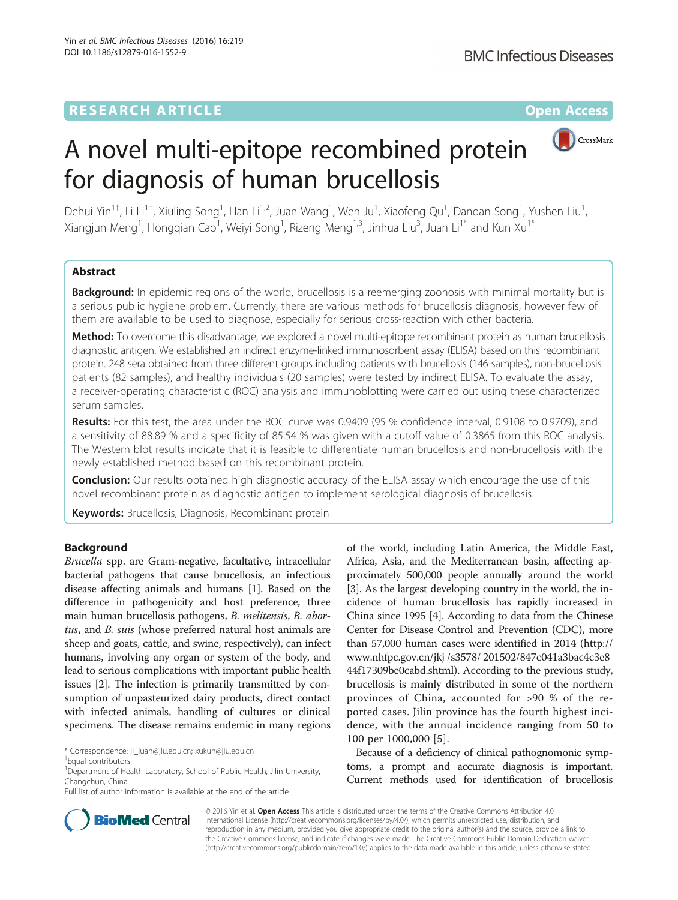## **RESEARCH ARTICLE External Structure Community Community Community Community Community Community Community Community**



# A novel multi-epitope recombined protein for diagnosis of human brucellosis

Dehui Yin<sup>1†</sup>, Li Li<sup>1†</sup>, Xiuling Song<sup>1</sup>, Han Li<sup>1,2</sup>, Juan Wang<sup>1</sup>, Wen Ju<sup>1</sup>, Xiaofeng Qu<sup>1</sup>, Dandan Song<sup>1</sup>, Yushen Liu<sup>1</sup> , Xiangjun Meng<sup>1</sup>, Hongqian Cao<sup>1</sup>, Weiyi Song<sup>1</sup>, Rizeng Meng<sup>1,3</sup>, Jinhua Liu<sup>3</sup>, Juan Li<sup>1\*</sup> and Kun Xu<sup>1\*</sup>

## Abstract

Background: In epidemic regions of the world, brucellosis is a reemerging zoonosis with minimal mortality but is a serious public hygiene problem. Currently, there are various methods for brucellosis diagnosis, however few of them are available to be used to diagnose, especially for serious cross-reaction with other bacteria.

Method: To overcome this disadvantage, we explored a novel multi-epitope recombinant protein as human brucellosis diagnostic antigen. We established an indirect enzyme-linked immunosorbent assay (ELISA) based on this recombinant protein. 248 sera obtained from three different groups including patients with brucellosis (146 samples), non-brucellosis patients (82 samples), and healthy individuals (20 samples) were tested by indirect ELISA. To evaluate the assay, a receiver-operating characteristic (ROC) analysis and immunoblotting were carried out using these characterized serum samples.

Results: For this test, the area under the ROC curve was 0.9409 (95 % confidence interval, 0.9108 to 0.9709), and a sensitivity of 88.89 % and a specificity of 85.54 % was given with a cutoff value of 0.3865 from this ROC analysis. The Western blot results indicate that it is feasible to differentiate human brucellosis and non-brucellosis with the newly established method based on this recombinant protein.

**Conclusion:** Our results obtained high diagnostic accuracy of the ELISA assay which encourage the use of this novel recombinant protein as diagnostic antigen to implement serological diagnosis of brucellosis.

Keywords: Brucellosis, Diagnosis, Recombinant protein

## Background

Brucella spp. are Gram-negative, facultative, intracellular bacterial pathogens that cause brucellosis, an infectious disease affecting animals and humans [\[1\]](#page-6-0). Based on the difference in pathogenicity and host preference, three main human brucellosis pathogens, B. melitensis, B. abortus, and B. suis (whose preferred natural host animals are sheep and goats, cattle, and swine, respectively), can infect humans, involving any organ or system of the body, and lead to serious complications with important public health issues [[2](#page-6-0)]. The infection is primarily transmitted by consumption of unpasteurized dairy products, direct contact with infected animals, handling of cultures or clinical specimens. The disease remains endemic in many regions

of the world, including Latin America, the Middle East, Africa, Asia, and the Mediterranean basin, affecting approximately 500,000 people annually around the world [[3\]](#page-6-0). As the largest developing country in the world, the incidence of human brucellosis has rapidly increased in China since 1995 [\[4](#page-6-0)]. According to data from the Chinese Center for Disease Control and Prevention (CDC), more than 57,000 human cases were identified in 2014 ([http://](http://www.nhfpc.gov.cn/jkj/s3578/201502/847c041a3bac4c3e844f17309be0cabd.shtml) [www.nhfpc.gov.cn/jkj /s3578/ 201502/847c041a3bac4c3e8](http://www.nhfpc.gov.cn/jkj/s3578/201502/847c041a3bac4c3e844f17309be0cabd.shtml) [44f17309be0cabd.shtml\)](http://www.nhfpc.gov.cn/jkj/s3578/201502/847c041a3bac4c3e844f17309be0cabd.shtml). According to the previous study, brucellosis is mainly distributed in some of the northern provinces of China, accounted for >90 % of the reported cases. Jilin province has the fourth highest incidence, with the annual incidence ranging from 50 to 100 per 1000,000 [[5](#page-6-0)].

Because of a deficiency of clinical pathognomonic symptoms, a prompt and accurate diagnosis is important. Current methods used for identification of brucellosis



© 2016 Yin et al. Open Access This article is distributed under the terms of the Creative Commons Attribution 4.0 International License [\(http://creativecommons.org/licenses/by/4.0/](http://creativecommons.org/licenses/by/4.0/)), which permits unrestricted use, distribution, and reproduction in any medium, provided you give appropriate credit to the original author(s) and the source, provide a link to the Creative Commons license, and indicate if changes were made. The Creative Commons Public Domain Dedication waiver [\(http://creativecommons.org/publicdomain/zero/1.0/](http://creativecommons.org/publicdomain/zero/1.0/)) applies to the data made available in this article, unless otherwise stated.

<sup>\*</sup> Correspondence: [li\\_juan@jlu.edu.cn;](mailto:li_juan@jlu.edu.cn) [xukun@jlu.edu.cn](mailto:xukun@jlu.edu.cn) †

Equal contributors

<sup>&</sup>lt;sup>1</sup> Department of Health Laboratory, School of Public Health, Jilin University, Changchun, China

Full list of author information is available at the end of the article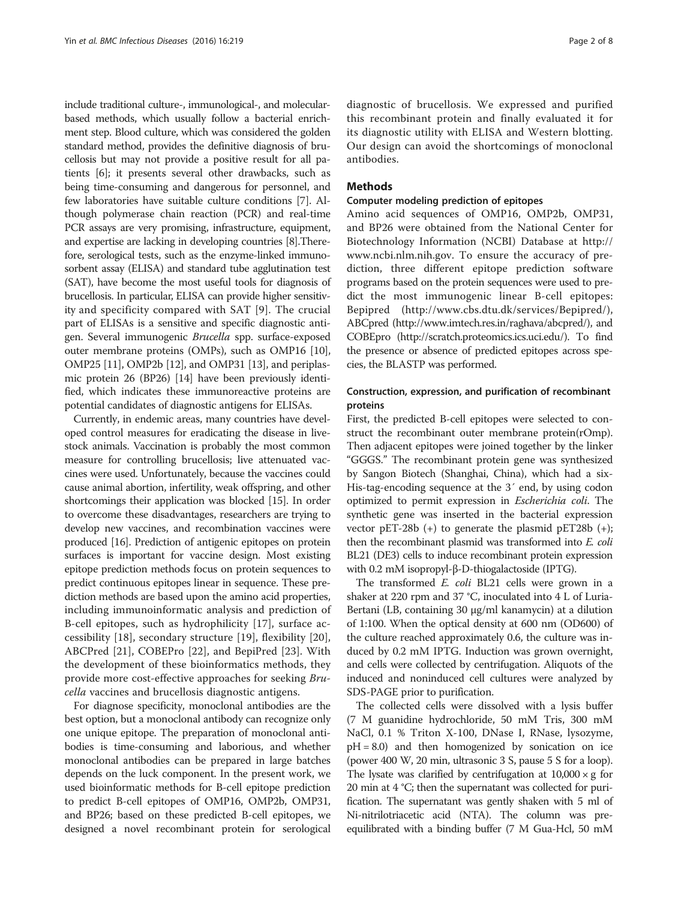include traditional culture-, immunological-, and molecularbased methods, which usually follow a bacterial enrichment step. Blood culture, which was considered the golden standard method, provides the definitive diagnosis of brucellosis but may not provide a positive result for all patients [\[6\]](#page-6-0); it presents several other drawbacks, such as being time-consuming and dangerous for personnel, and few laboratories have suitable culture conditions [[7](#page-6-0)]. Although polymerase chain reaction (PCR) and real-time PCR assays are very promising, infrastructure, equipment, and expertise are lacking in developing countries [\[8\]](#page-6-0).Therefore, serological tests, such as the enzyme-linked immunosorbent assay (ELISA) and standard tube agglutination test (SAT), have become the most useful tools for diagnosis of brucellosis. In particular, ELISA can provide higher sensitivity and specificity compared with SAT [[9\]](#page-6-0). The crucial part of ELISAs is a sensitive and specific diagnostic antigen. Several immunogenic Brucella spp. surface-exposed outer membrane proteins (OMPs), such as OMP16 [[10](#page-6-0)], OMP25 [\[11\]](#page-6-0), OMP2b [\[12\]](#page-6-0), and OMP31 [\[13\]](#page-6-0), and periplasmic protein 26 (BP26) [[14\]](#page-6-0) have been previously identified, which indicates these immunoreactive proteins are potential candidates of diagnostic antigens for ELISAs.

Currently, in endemic areas, many countries have developed control measures for eradicating the disease in livestock animals. Vaccination is probably the most common measure for controlling brucellosis; live attenuated vaccines were used. Unfortunately, because the vaccines could cause animal abortion, infertility, weak offspring, and other shortcomings their application was blocked [[15](#page-6-0)]. In order to overcome these disadvantages, researchers are trying to develop new vaccines, and recombination vaccines were produced [\[16](#page-6-0)]. Prediction of antigenic epitopes on protein surfaces is important for vaccine design. Most existing epitope prediction methods focus on protein sequences to predict continuous epitopes linear in sequence. These prediction methods are based upon the amino acid properties, including immunoinformatic analysis and prediction of B-cell epitopes, such as hydrophilicity [\[17](#page-6-0)], surface accessibility [\[18](#page-6-0)], secondary structure [\[19](#page-6-0)], flexibility [[20](#page-6-0)], ABCPred [\[21](#page-6-0)], COBEPro [[22\]](#page-6-0), and BepiPred [\[23](#page-6-0)]. With the development of these bioinformatics methods, they provide more cost-effective approaches for seeking Brucella vaccines and brucellosis diagnostic antigens.

For diagnose specificity, monoclonal antibodies are the best option, but a monoclonal antibody can recognize only one unique epitope. The preparation of monoclonal antibodies is time-consuming and laborious, and whether monoclonal antibodies can be prepared in large batches depends on the luck component. In the present work, we used bioinformatic methods for B-cell epitope prediction to predict B-cell epitopes of OMP16, OMP2b, OMP31, and BP26; based on these predicted B-cell epitopes, we designed a novel recombinant protein for serological

diagnostic of brucellosis. We expressed and purified this recombinant protein and finally evaluated it for its diagnostic utility with ELISA and Western blotting. Our design can avoid the shortcomings of monoclonal antibodies.

## **Methods**

## Computer modeling prediction of epitopes

Amino acid sequences of OMP16, OMP2b, OMP31, and BP26 were obtained from the National Center for Biotechnology Information (NCBI) Database at [http://](http://www.ncbi.nlm.nih.gov) [www.ncbi.nlm.nih.gov.](http://www.ncbi.nlm.nih.gov) To ensure the accuracy of prediction, three different epitope prediction software programs based on the protein sequences were used to predict the most immunogenic linear B-cell epitopes: Bepipred (<http://www.cbs.dtu.dk/services/Bepipred/>), ABCpred ([http://www.imtech.res.in/raghava/abcpred/\)](http://www.imtech.res.in/raghava/abcpred/), and COBEpro ([http://scratch.proteomics.ics.uci.edu/\)](http://scratch.proteomics.ics.uci.edu/). To find the presence or absence of predicted epitopes across species, the BLASTP was performed.

## Construction, expression, and purification of recombinant proteins

First, the predicted B-cell epitopes were selected to construct the recombinant outer membrane protein(rOmp). Then adjacent epitopes were joined together by the linker "GGGS." The recombinant protein gene was synthesized by Sangon Biotech (Shanghai, China), which had a six-His-tag-encoding sequence at the 3´ end, by using codon optimized to permit expression in Escherichia coli. The synthetic gene was inserted in the bacterial expression vector pET-28b  $(+)$  to generate the plasmid pET28b  $(+)$ ; then the recombinant plasmid was transformed into E. coli BL21 (DE3) cells to induce recombinant protein expression with 0.2 mM isopropyl-β-D-thiogalactoside (IPTG).

The transformed E. coli BL21 cells were grown in a shaker at 220 rpm and 37 °C, inoculated into 4 L of Luria-Bertani (LB, containing 30 μg/ml kanamycin) at a dilution of 1:100. When the optical density at 600 nm (OD600) of the culture reached approximately 0.6, the culture was induced by 0.2 mM IPTG. Induction was grown overnight, and cells were collected by centrifugation. Aliquots of the induced and noninduced cell cultures were analyzed by SDS-PAGE prior to purification.

The collected cells were dissolved with a lysis buffer (7 M guanidine hydrochloride, 50 mM Tris, 300 mM NaCl, 0.1 % Triton X-100, DNase I, RNase, lysozyme,  $pH = 8.0$ ) and then homogenized by sonication on ice (power 400 W, 20 min, ultrasonic 3 S, pause 5 S for a loop). The lysate was clarified by centrifugation at  $10,000 \times g$  for 20 min at 4 °C; then the supernatant was collected for purification. The supernatant was gently shaken with 5 ml of Ni-nitrilotriacetic acid (NTA). The column was preequilibrated with a binding buffer (7 M Gua-Hcl, 50 mM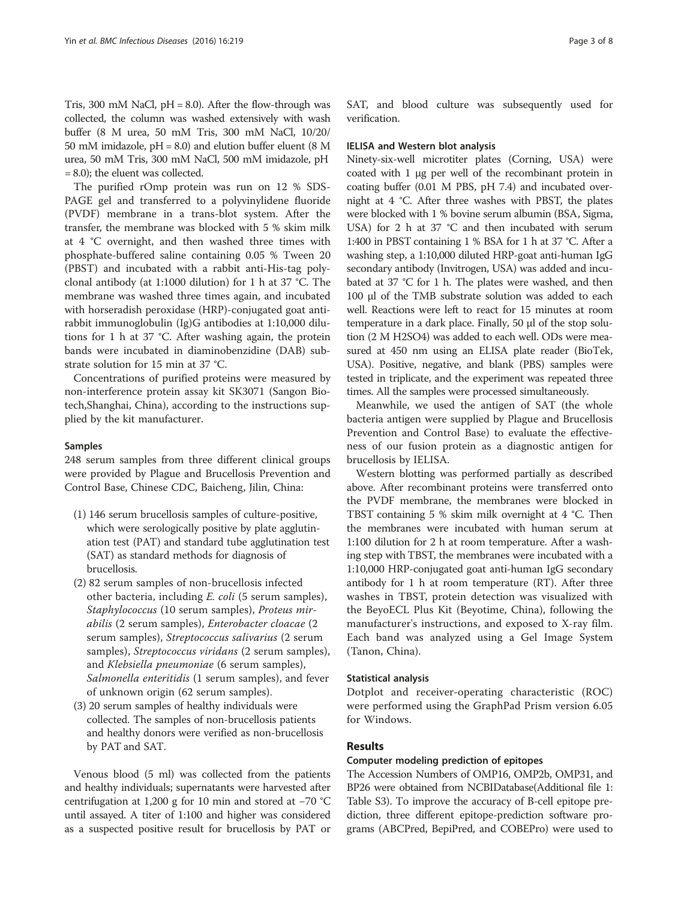Tris, 300 mM NaCl,  $pH = 8.0$ ). After the flow-through was collected, the column was washed extensively with wash buffer (8 M urea, 50 mM Tris, 300 mM NaCl, 10/20/ 50 mM imidazole, pH = 8.0) and elution buffer eluent (8 M urea, 50 mM Tris, 300 mM NaCl, 500 mM imidazole, pH = 8.0); the eluent was collected.

The purified rOmp protein was run on 12 % SDS-PAGE gel and transferred to a polyvinylidene fluoride (PVDF) membrane in a trans-blot system. After the transfer, the membrane was blocked with 5 % skim milk at 4 °C overnight, and then washed three times with phosphate-buffered saline containing 0.05 % Tween 20 (PBST) and incubated with a rabbit anti-His-tag polyclonal antibody (at 1:1000 dilution) for 1 h at 37 °C. The membrane was washed three times again, and incubated with horseradish peroxidase (HRP)-conjugated goat antirabbit immunoglobulin (Ig)G antibodies at 1:10,000 dilutions for 1 h at 37 °C. After washing again, the protein bands were incubated in diaminobenzidine (DAB) substrate solution for 15 min at 37 °C.

Concentrations of purified proteins were measured by non-interference protein assay kit SK3071 (Sangon Biotech,Shanghai, China), according to the instructions supplied by the kit manufacturer.

## Samples

248 serum samples from three different clinical groups were provided by Plague and Brucellosis Prevention and Control Base, Chinese CDC, Baicheng, Jilin, China:

- (1) 146 serum brucellosis samples of culture-positive, which were serologically positive by plate agglutination test (PAT) and standard tube agglutination test (SAT) as standard methods for diagnosis of brucellosis.
- (2) 82 serum samples of non-brucellosis infected other bacteria, including E. coli (5 serum samples), Staphylococcus (10 serum samples), Proteus mirabilis (2 serum samples), Enterobacter cloacae (2 serum samples), Streptococcus salivarius (2 serum samples), Streptococcus viridans (2 serum samples), and Klebsiella pneumoniae (6 serum samples), Salmonella enteritidis (1 serum samples), and fever of unknown origin (62 serum samples).
- (3) 20 serum samples of healthy individuals were collected. The samples of non-brucellosis patients and healthy donors were verified as non-brucellosis by PAT and SAT.

Venous blood (5 ml) was collected from the patients and healthy individuals; supernatants were harvested after centrifugation at 1,200 g for 10 min and stored at −70 °C until assayed. A titer of 1:100 and higher was considered as a suspected positive result for brucellosis by PAT or SAT, and blood culture was subsequently used for verification.

#### IELISA and Western blot analysis

Ninety-six-well microtiter plates (Corning, USA) were coated with 1 μg per well of the recombinant protein in coating buffer (0.01 M PBS, pH 7.4) and incubated overnight at 4 °C. After three washes with PBST, the plates were blocked with 1 % bovine serum albumin (BSA, Sigma, USA) for 2 h at 37 °C and then incubated with serum 1:400 in PBST containing 1 % BSA for 1 h at 37 °C. After a washing step, a 1:10,000 diluted HRP-goat anti-human IgG secondary antibody (Invitrogen, USA) was added and incubated at 37 °C for 1 h. The plates were washed, and then 100 μl of the TMB substrate solution was added to each well. Reactions were left to react for 15 minutes at room temperature in a dark place. Finally, 50 μl of the stop solution (2 M H2SO4) was added to each well. ODs were measured at 450 nm using an ELISA plate reader (BioTek, USA). Positive, negative, and blank (PBS) samples were tested in triplicate, and the experiment was repeated three times. All the samples were processed simultaneously.

Meanwhile, we used the antigen of SAT (the whole bacteria antigen were supplied by Plague and Brucellosis Prevention and Control Base) to evaluate the effectiveness of our fusion protein as a diagnostic antigen for brucellosis by IELISA.

Western blotting was performed partially as described above. After recombinant proteins were transferred onto the PVDF membrane, the membranes were blocked in TBST containing 5 % skim milk overnight at 4 °C. Then the membranes were incubated with human serum at 1:100 dilution for 2 h at room temperature. After a washing step with TBST, the membranes were incubated with a 1:10,000 HRP-conjugated goat anti-human IgG secondary antibody for 1 h at room temperature (RT). After three washes in TBST, protein detection was visualized with the BeyoECL Plus Kit (Beyotime, China), following the manufacturer's instructions, and exposed to X-ray film. Each band was analyzed using a Gel Image System (Tanon, China).

## Statistical analysis

Dotplot and receiver-operating characteristic (ROC) were performed using the GraphPad Prism version 6.05 for Windows.

## Results

## Computer modeling prediction of epitopes

The Accession Numbers of OMP16, OMP2b, OMP31, and BP26 were obtained from NCBIDatabase(Additional file [1](#page-6-0): Table S3). To improve the accuracy of B-cell epitope prediction, three different epitope-prediction software programs (ABCPred, BepiPred, and COBEPro) were used to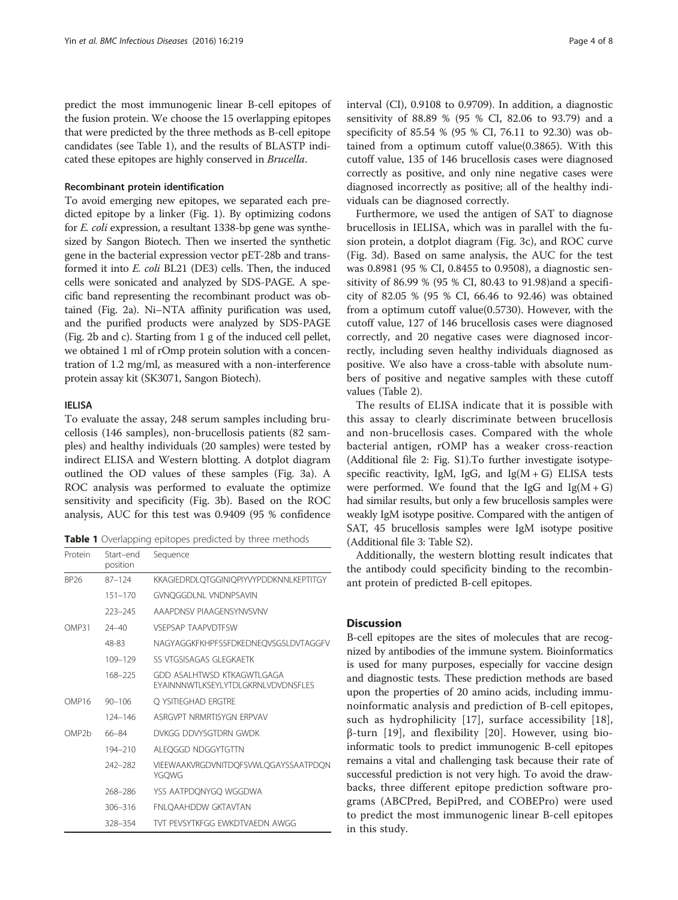predict the most immunogenic linear B-cell epitopes of the fusion protein. We choose the 15 overlapping epitopes that were predicted by the three methods as B-cell epitope candidates (see Table 1), and the results of BLASTP indicated these epitopes are highly conserved in Brucella.

## Recombinant protein identification

To avoid emerging new epitopes, we separated each predicted epitope by a linker (Fig. [1](#page-4-0)). By optimizing codons for E. coli expression, a resultant 1338-bp gene was synthesized by Sangon Biotech. Then we inserted the synthetic gene in the bacterial expression vector pET-28b and transformed it into E. coli BL21 (DE3) cells. Then, the induced cells were sonicated and analyzed by SDS-PAGE. A specific band representing the recombinant product was obtained (Fig. [2a](#page-4-0)). Ni–NTA affinity purification was used, and the purified products were analyzed by SDS-PAGE (Fig. [2b](#page-4-0) and [c\)](#page-4-0). Starting from 1 g of the induced cell pellet, we obtained 1 ml of rOmp protein solution with a concentration of 1.2 mg/ml, as measured with a non-interference protein assay kit (SK3071, Sangon Biotech).

## IELISA

To evaluate the assay, 248 serum samples including brucellosis (146 samples), non-brucellosis patients (82 samples) and healthy individuals (20 samples) were tested by indirect ELISA and Western blotting. A dotplot diagram outlined the OD values of these samples (Fig. [3a](#page-5-0)). A ROC analysis was performed to evaluate the optimize sensitivity and specificity (Fig. [3b\)](#page-5-0). Based on the ROC analysis, AUC for this test was 0.9409 (95 % confidence

Table 1 Overlapping epitopes predicted by three methods

| Protein            | Start-end<br>position | Sequence                                                                |  |  |
|--------------------|-----------------------|-------------------------------------------------------------------------|--|--|
| BP <sub>26</sub>   | $87 - 124$            | KKAGIEDRDLQTGGINIQPIYVYPDDKNNLKEPTITGY                                  |  |  |
|                    | $151 - 170$           | <b>GVNQGGDLNL VNDNPSAVIN</b>                                            |  |  |
|                    | $223 - 245$           | AAAPDNSV PIAAGENSYNVSVNV                                                |  |  |
| <b>OMP31</b>       | $74 - 40$             | <b>VSEPSAP TAAPVDTESW</b>                                               |  |  |
|                    | 48-83                 | NAGYAGGKFKHPFSSFDKEDNEQVSGSLDVTAGGFV                                    |  |  |
|                    | 109-129               | SS VTGSISAGAS GI EGKAFTK                                                |  |  |
|                    | 168-225               | GDD ASAI HTWSD KTKAGWTI GAGA<br>EYAINNNWTI KSEYI YTDI GKRNI VDVDNSEI ES |  |  |
| OMP16              | $90 - 106$            | O YSITIEGHAD ERGTRE                                                     |  |  |
|                    | 124-146               | ASRGVPT NRMRTISYGN FRPVAV                                               |  |  |
| OMP <sub>2</sub> b | 66-84                 | DVKGG DDVYSGTDRN GWDK                                                   |  |  |
|                    | $194 - 210$           | ALEQGGD NDGGYTGTTN                                                      |  |  |
|                    | $242 - 282$           | VIEEWAAKVRGDVNITDQFSVWLQGAYSSAATPDQN<br>YGQWG                           |  |  |
|                    | 268-286               | YSS AATPDONYGO WGGDWA                                                   |  |  |
|                    | $306 - 316$           | <b>FNLOAAHDDW GKTAVTAN</b>                                              |  |  |
|                    | 328-354               | TVT PEVSYTKEGG EWKDTVAEDN AWGG                                          |  |  |

interval (CI), 0.9108 to 0.9709). In addition, a diagnostic sensitivity of 88.89 % (95 % CI, 82.06 to 93.79) and a specificity of 85.54 % (95 % CI, 76.11 to 92.30) was obtained from a optimum cutoff value(0.3865). With this cutoff value, 135 of 146 brucellosis cases were diagnosed correctly as positive, and only nine negative cases were diagnosed incorrectly as positive; all of the healthy individuals can be diagnosed correctly.

Furthermore, we used the antigen of SAT to diagnose brucellosis in IELISA, which was in parallel with the fusion protein, a dotplot diagram (Fig. [3c\)](#page-5-0), and ROC curve (Fig. [3d](#page-5-0)). Based on same analysis, the AUC for the test was 0.8981 (95 % CI, 0.8455 to 0.9508), a diagnostic sensitivity of 86.99 % (95 % CI, 80.43 to 91.98)and a specificity of 82.05 % (95 % CI, 66.46 to 92.46) was obtained from a optimum cutoff value(0.5730). However, with the cutoff value, 127 of 146 brucellosis cases were diagnosed correctly, and 20 negative cases were diagnosed incorrectly, including seven healthy individuals diagnosed as positive. We also have a cross-table with absolute numbers of positive and negative samples with these cutoff values (Table [2\)](#page-5-0).

The results of ELISA indicate that it is possible with this assay to clearly discriminate between brucellosis and non-brucellosis cases. Compared with the whole bacterial antigen, rOMP has a weaker cross-reaction (Additional file [2:](#page-6-0) Fig. S1).To further investigate isotypespecific reactivity, IgM, IgG, and  $Ig(M + G)$  ELISA tests were performed. We found that the IgG and  $Ig(M+G)$ had similar results, but only a few brucellosis samples were weakly IgM isotype positive. Compared with the antigen of SAT, 45 brucellosis samples were IgM isotype positive (Additional file [3:](#page-6-0) Table S2).

Additionally, the western blotting result indicates that the antibody could specificity binding to the recombinant protein of predicted B-cell epitopes.

## **Discussion**

B-cell epitopes are the sites of molecules that are recognized by antibodies of the immune system. Bioinformatics is used for many purposes, especially for vaccine design and diagnostic tests. These prediction methods are based upon the properties of 20 amino acids, including immunoinformatic analysis and prediction of B-cell epitopes, such as hydrophilicity [\[17](#page-6-0)], surface accessibility [[18](#page-6-0)], β-turn [\[19](#page-6-0)], and flexibility [[20](#page-6-0)]. However, using bioinformatic tools to predict immunogenic B-cell epitopes remains a vital and challenging task because their rate of successful prediction is not very high. To avoid the drawbacks, three different epitope prediction software programs (ABCPred, BepiPred, and COBEPro) were used to predict the most immunogenic linear B-cell epitopes in this study.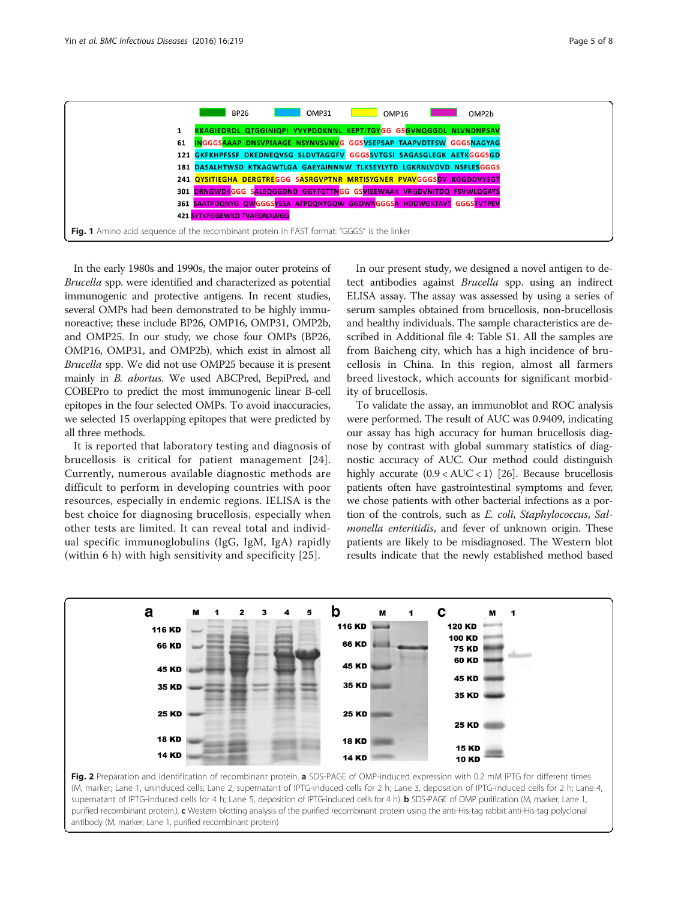<span id="page-4-0"></span>

In the early 1980s and 1990s, the major outer proteins of Brucella spp. were identified and characterized as potential immunogenic and protective antigens. In recent studies, several OMPs had been demonstrated to be highly immunoreactive; these include BP26, OMP16, OMP31, OMP2b, and OMP25. In our study, we chose four OMPs (BP26, OMP16, OMP31, and OMP2b), which exist in almost all Brucella spp. We did not use OMP25 because it is present mainly in B. abortus. We used ABCPred, BepiPred, and COBEPro to predict the most immunogenic linear B-cell epitopes in the four selected OMPs. To avoid inaccuracies, we selected 15 overlapping epitopes that were predicted by all three methods.

It is reported that laboratory testing and diagnosis of brucellosis is critical for patient management [[24](#page-6-0)]. Currently, numerous available diagnostic methods are difficult to perform in developing countries with poor resources, especially in endemic regions. IELISA is the best choice for diagnosing brucellosis, especially when other tests are limited. It can reveal total and individual specific immunoglobulins (IgG, IgM, IgA) rapidly (within 6 h) with high sensitivity and specificity [[25\]](#page-7-0).

In our present study, we designed a novel antigen to detect antibodies against *Brucella* spp. using an indirect ELISA assay. The assay was assessed by using a series of serum samples obtained from brucellosis, non-brucellosis and healthy individuals. The sample characteristics are described in Additional file [4](#page-6-0): Table S1. All the samples are from Baicheng city, which has a high incidence of brucellosis in China. In this region, almost all farmers breed livestock, which accounts for significant morbidity of brucellosis.

To validate the assay, an immunoblot and ROC analysis were performed. The result of AUC was 0.9409, indicating our assay has high accuracy for human brucellosis diagnose by contrast with global summary statistics of diagnostic accuracy of AUC. Our method could distinguish highly accurate  $(0.9 < AUC < 1)$  [\[26\]](#page-7-0). Because brucellosis patients often have gastrointestinal symptoms and fever, we chose patients with other bacterial infections as a portion of the controls, such as E. coli, Staphylococcus, Salmonella enteritidis, and fever of unknown origin. These patients are likely to be misdiagnosed. The Western blot results indicate that the newly established method based



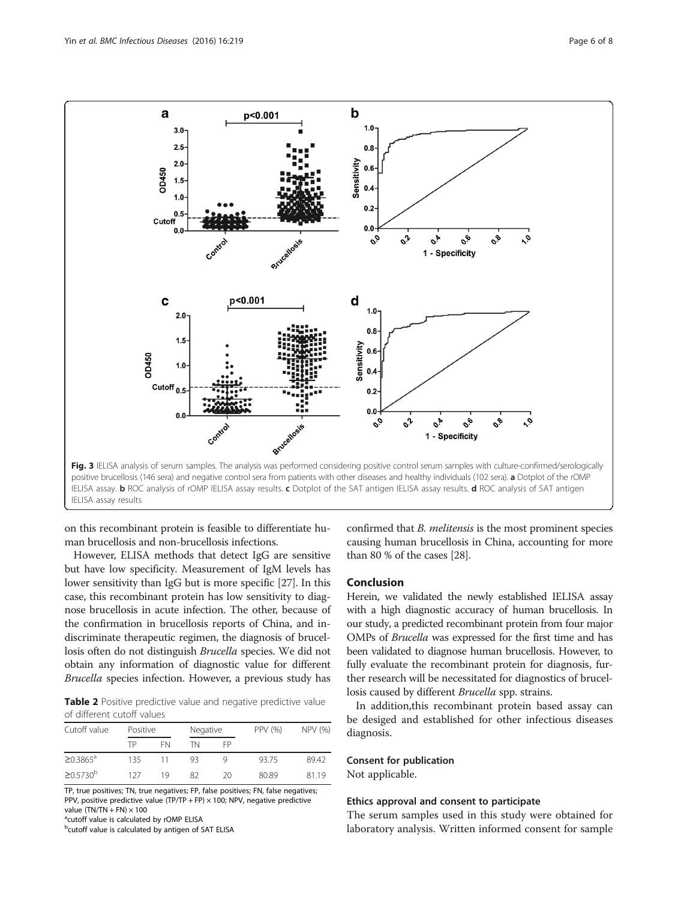<span id="page-5-0"></span>

on this recombinant protein is feasible to differentiate human brucellosis and non-brucellosis infections.

However, ELISA methods that detect IgG are sensitive but have low specificity. Measurement of IgM levels has lower sensitivity than IgG but is more specific [\[27\]](#page-7-0). In this case, this recombinant protein has low sensitivity to diagnose brucellosis in acute infection. The other, because of the confirmation in brucellosis reports of China, and indiscriminate therapeutic regimen, the diagnosis of brucellosis often do not distinguish Brucella species. We did not obtain any information of diagnostic value for different Brucella species infection. However, a previous study has

Table 2 Positive predictive value and negative predictive value of different cutoff values

| Cutoff value      | Positive |    | Negative |    | PPV (%) | NPV (%) |
|-------------------|----------|----|----------|----|---------|---------|
|                   | TP       | FN | TN       | FP |         |         |
| $\geq 0.3865^a$   | 135      | 11 | QЗ       |    | 9375    | 8942    |
| $\geq 0.5730^{b}$ | 127      | 19 | 82       | 20 | 80.89   | 8119    |

TP, true positives; TN, true negatives; FP, false positives; FN, false negatives; PPV, positive predictive value (TP/TP + FP) × 100; NPV, negative predictive value  $(TN/TN + FN) \times 100$ 

<sup>a</sup>cutoff value is calculated by rOMP ELISA

**b**cutoff value is calculated by antigen of SAT ELISA

confirmed that B. melitensis is the most prominent species causing human brucellosis in China, accounting for more than 80 % of the cases [\[28\]](#page-7-0).

## Conclusion

Herein, we validated the newly established IELISA assay with a high diagnostic accuracy of human brucellosis. In our study, a predicted recombinant protein from four major OMPs of Brucella was expressed for the first time and has been validated to diagnose human brucellosis. However, to fully evaluate the recombinant protein for diagnosis, further research will be necessitated for diagnostics of brucellosis caused by different Brucella spp. strains.

In addition,this recombinant protein based assay can be desiged and established for other infectious diseases diagnosis.

## Consent for publication

Not applicable.

## Ethics approval and consent to participate

The serum samples used in this study were obtained for laboratory analysis. Written informed consent for sample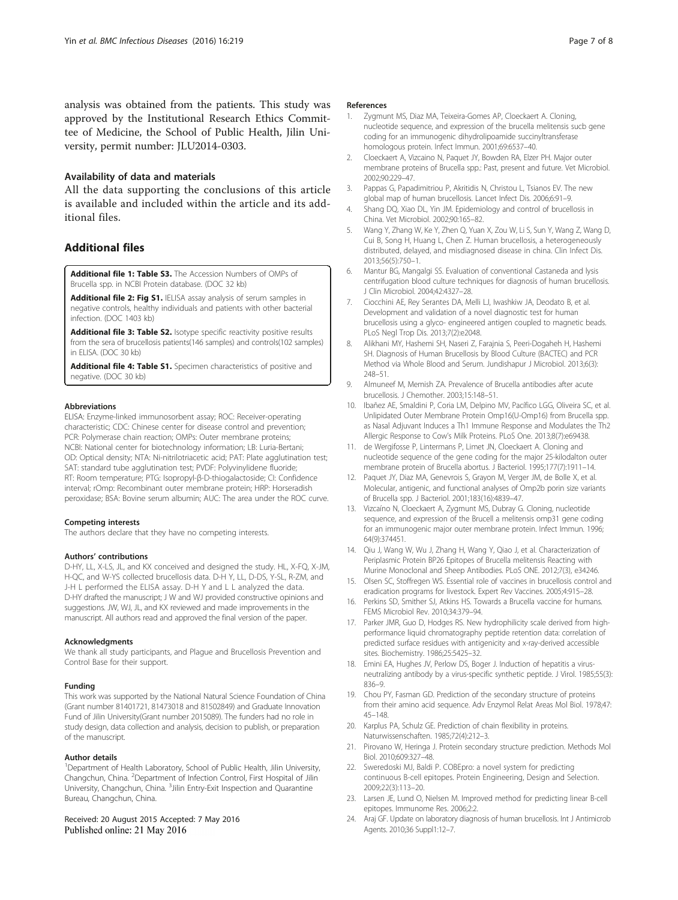<span id="page-6-0"></span>analysis was obtained from the patients. This study was approved by the Institutional Research Ethics Committee of Medicine, the School of Public Health, Jilin University, permit number: JLU2014-0303.

## Availability of data and materials

All the data supporting the conclusions of this article is available and included within the article and its additional files.

## Additional files

[Additional file 1: Table S3.](dx.doi.org/10.1186/s12879-016-1552-9) The Accession Numbers of OMPs of Brucella spp. in NCBI Protein database. (DOC 32 kb)

[Additional file 2: Fig S1.](dx.doi.org/10.1186/s12879-016-1552-9) IELISA assay analysis of serum samples in negative controls, healthy individuals and patients with other bacterial infection. (DOC 1403 kb)

[Additional file 3: Table S2.](dx.doi.org/10.1186/s12879-016-1552-9) Isotype specific reactivity positive results from the sera of brucellosis patients(146 samples) and controls(102 samples) in ELISA. (DOC 30 kb)

[Additional file 4: Table S1.](dx.doi.org/10.1186/s12879-016-1552-9) Specimen characteristics of positive and negative. (DOC 30 kb)

#### Abbreviations

ELISA: Enzyme-linked immunosorbent assay; ROC: Receiver-operating characteristic; CDC: Chinese center for disease control and prevention; PCR: Polymerase chain reaction; OMPs: Outer membrane proteins; NCBI: National center for biotechnology information; LB: Luria-Bertani; OD: Optical density; NTA: Ni-nitrilotriacetic acid; PAT: Plate agglutination test; SAT: standard tube agglutination test; PVDF: Polyvinylidene fluoride; RT: Room temperature; PTG: Isopropyl-β-D-thiogalactoside; CI: Confidence interval; rOmp: Recombinant outer membrane protein; HRP: Horseradish peroxidase; BSA: Bovine serum albumin; AUC: The area under the ROC curve.

#### Competing interests

The authors declare that they have no competing interests.

#### Authors' contributions

D-HY, LL, X-LS, JL, and KX conceived and designed the study. HL, X-FQ, X-JM, H-QC, and W-YS collected brucellosis data. D-H Y, LL, D-DS, Y-SL, R-ZM, and J-H L performed the ELISA assay. D-H Y and L L analyzed the data. D-HY drafted the manuscript; J W and WJ provided constructive opinions and suggestions. JW, WJ, JL, and KX reviewed and made improvements in the manuscript. All authors read and approved the final version of the paper.

#### Acknowledgments

We thank all study participants, and Plague and Brucellosis Prevention and Control Base for their support.

#### Funding

This work was supported by the National Natural Science Foundation of China (Grant number 81401721, 81473018 and 81502849) and Graduate Innovation Fund of Jilin University(Grant number 2015089). The funders had no role in study design, data collection and analysis, decision to publish, or preparation of the manuscript.

#### Author details

<sup>1</sup>Department of Health Laboratory, School of Public Health, Jilin University, Changchun, China. <sup>2</sup>Department of Infection Control, First Hospital of Jilin University, Changchun, China. <sup>3</sup> Jilin Entry-Exit Inspection and Quarantine Bureau, Changchun, China.

Received: 20 August 2015 Accepted: 7 May 2016 Published online: 21 May 2016

## References

- 1. Zygmunt MS, Diaz MA, Teixeira-Gomes AP, Cloeckaert A. Cloning, nucleotide sequence, and expression of the brucella melitensis sucb gene coding for an immunogenic dihydrolipoamide succinyltransferase homologous protein. Infect Immun. 2001;69:6537–40.
- 2. Cloeckaert A, Vizcaino N, Paquet JY, Bowden RA, Elzer PH. Major outer membrane proteins of Brucella spp.: Past, present and future. Vet Microbiol. 2002;90:229–47.
- 3. Pappas G, Papadimitriou P, Akritidis N, Christou L, Tsianos EV. The new global map of human brucellosis. Lancet Infect Dis. 2006;6:91–9.
- 4. Shang DQ, Xiao DL, Yin JM. Epidemiology and control of brucellosis in China. Vet Microbiol. 2002;90:165–82.
- 5. Wang Y, Zhang W, Ke Y, Zhen Q, Yuan X, Zou W, Li S, Sun Y, Wang Z, Wang D, Cui B, Song H, Huang L, Chen Z. Human brucellosis, a heterogeneously distributed, delayed, and misdiagnosed disease in china. Clin Infect Dis. 2013;56(5):750–1.
- 6. Mantur BG, Mangalgi SS. Evaluation of conventional Castaneda and lysis centrifugation blood culture techniques for diagnosis of human brucellosis. J Clin Microbiol. 2004;42:4327–28.
- 7. Ciocchini AE, Rey Serantes DA, Melli LJ, Iwashkiw JA, Deodato B, et al. Development and validation of a novel diagnostic test for human brucellosis using a glyco- engineered antigen coupled to magnetic beads. PLoS Negl Trop Dis. 2013;7(2):e2048.
- 8. Alikhani MY, Hashemi SH, Naseri Z, Farajnia S, Peeri-Dogaheh H, Hashemi SH. Diagnosis of Human Brucellosis by Blood Culture (BACTEC) and PCR Method via Whole Blood and Serum. Jundishapur J Microbiol. 2013;6(3): 248–51.
- 9. Almuneef M, Memish ZA. Prevalence of Brucella antibodies after acute brucellosis. J Chemother. 2003;15:148–51.
- 10. Ibañez AE, Smaldini P, Coria LM, Delpino MV, Pacífico LGG, Oliveira SC, et al. Unlipidated Outer Membrane Protein Omp16(U-Omp16) from Brucella spp. as Nasal Adjuvant Induces a Th1 Immune Response and Modulates the Th2 Allergic Response to Cow's Milk Proteins. PLoS One. 2013;8(7):e69438.
- 11. de Wergifosse P, Lintermans P, Limet JN, Cloeckaert A. Cloning and nucleotide sequence of the gene coding for the major 25-kilodalton outer membrane protein of Brucella abortus. J Bacteriol. 1995;177(7):1911–14.
- 12. Paquet JY, Diaz MA, Genevrois S, Grayon M, Verger JM, de Bolle X, et al. Molecular, antigenic, and functional analyses of Omp2b porin size variants of Brucella spp. J Bacteriol. 2001;183(16):4839–47.
- 13. Vizcaíno N, Cloeckaert A, Zygmunt MS, Dubray G. Cloning, nucleotide sequence, and expression of the Brucell a melitensis omp31 gene coding for an immunogenic major outer membrane protein. Infect Immun. 1996; 64(9):374451.
- 14. Qiu J, Wang W, Wu J, Zhang H, Wang Y, Qiao J, et al. Characterization of Periplasmic Protein BP26 Epitopes of Brucella melitensis Reacting with Murine Monoclonal and Sheep Antibodies. PLoS ONE. 2012;7(3), e34246.
- 15. Olsen SC, Stoffregen WS. Essential role of vaccines in brucellosis control and eradication programs for livestock. Expert Rev Vaccines. 2005;4:915–28.
- 16. Perkins SD, Smither SJ, Atkins HS. Towards a Brucella vaccine for humans. FEMS Microbiol Rev. 2010;34:379–94.
- 17. Parker JMR, Guo D, Hodges RS. New hydrophilicity scale derived from highperformance liquid chromatography peptide retention data: correlation of predicted surface residues with antigenicity and x-ray-derived accessible sites. Biochemistry. 1986;25:5425–32.
- 18. Emini EA, Hughes JV, Perlow DS, Boger J. Induction of hepatitis a virusneutralizing antibody by a virus-specific synthetic peptide. J Virol. 1985;55(3): 836–9.
- 19. Chou PY, Fasman GD. Prediction of the secondary structure of proteins from their amino acid sequence. Adv Enzymol Relat Areas Mol Biol. 1978;47: 45–148.
- 20. Karplus PA, Schulz GE. Prediction of chain flexibility in proteins. Naturwissenschaften. 1985;72(4):212–3.
- 21. Pirovano W, Heringa J. Protein secondary structure prediction. Methods Mol Biol. 2010;609:327–48.
- 22. Sweredoski MJ, Baldi P. COBEpro: a novel system for predicting continuous B-cell epitopes. Protein Engineering, Design and Selection. 2009;22(3):113–20.
- 23. Larsen JE, Lund O, Nielsen M. Improved method for predicting linear B-cell epitopes. Immunome Res. 2006;2:2.
- 24. Araj GF. Update on laboratory diagnosis of human brucellosis. Int J Antimicrob Agents. 2010;36 Suppl1:12–7.